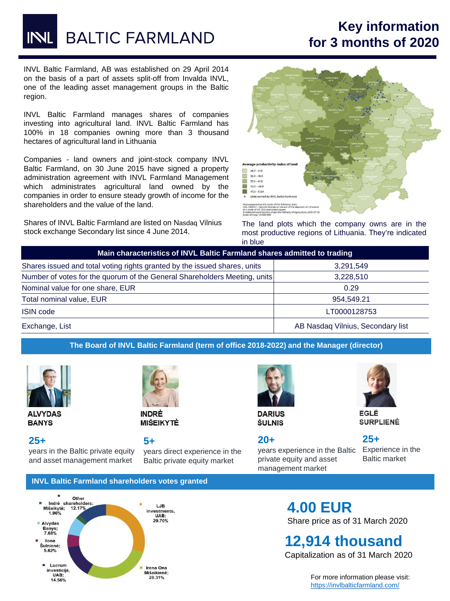**BALTIC FARMLAND** 

### **Key information for 3 months of 2020**

INVL Baltic Farmland, AB was established on 29 April 2014 on the basis of a part of assets split-off from Invalda INVL, one of the leading asset management groups in the Baltic region.

INVL Baltic Farmland manages shares of companies investing into agricultural land. INVL Baltic Farmland has 100% in 18 companies owning more than 3 thousand hectares of agricultural land in Lithuania

Companies - land owners and joint-stock company INVL Baltic Farmland, on 30 June 2015 have signed a property administration agreement with INVL Farmland Management which administrates agricultural land owned by the companies in order to ensure steady growth of income for the shareholders and the value of the land.

Shares of INVL Baltic Farmland are listed on Nasdaq Vilnius stock exchange Secondary list since 4 June 2014.



The land plots which the company owns are in the most productive regions of Lithuania. They're indicated in blue

| Main characteristics of INVL Baltic Farmland shares admitted to trading   |                                   |  |  |
|---------------------------------------------------------------------------|-----------------------------------|--|--|
| Shares issued and total voting rights granted by the issued shares, units | 3,291,549                         |  |  |
| Number of votes for the quorum of the General Shareholders Meeting, units | 3,228,510                         |  |  |
| Nominal value for one share, EUR                                          | 0.29                              |  |  |
| Total nominal value, EUR                                                  | 954,549.21                        |  |  |
| <b>ISIN</b> code                                                          | LT0000128753                      |  |  |
| Exchange, List                                                            | AB Nasdag Vilnius, Secondary list |  |  |

#### **The Board of INVL Baltic Farmland (term of office 2018-2022) and the Manager (director)**



**ALVYDAS BANYS** 



**MIŠEIKYTĖ** 

**5+** 

#### **25+**

years in the Baltic private equity and asset management market

years direct experience in the Baltic private equity market



ŠULNIS

#### **20+**

years experience in the Baltic private equity and asset management market



**SURPLIENE** 

#### **25+**

Experience in the Baltic market

#### **INVL Baltic Farmland shareholders votes granted**



# **4.00 EUR**

Share price as of 31 March 2020

**12,914 thousand** Capitalization as of 31 March 2020

For more information please visit: <https://invlbalticfarmland.com/>